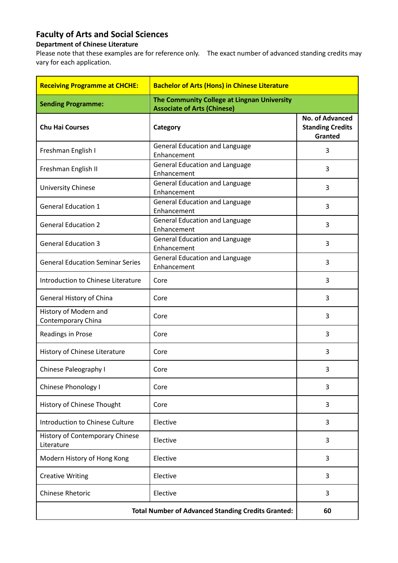## **Faculty of Arts and Social Sciences**

## **Department of Chinese Literature**

Please note that these examples are for reference only. The exact number of advanced standing credits may vary for each application.

| <b>Receiving Programme at CHCHE:</b>                      | <b>Bachelor of Arts (Hons) in Chinese Literature</b>                              |                                                       |
|-----------------------------------------------------------|-----------------------------------------------------------------------------------|-------------------------------------------------------|
| <b>Sending Programme:</b>                                 | The Community College at Lingnan University<br><b>Associate of Arts (Chinese)</b> |                                                       |
| <b>Chu Hai Courses</b>                                    | Category                                                                          | No. of Advanced<br><b>Standing Credits</b><br>Granted |
| Freshman English I                                        | General Education and Language<br>Enhancement                                     | 3                                                     |
| Freshman English II                                       | <b>General Education and Language</b><br>Enhancement                              | 3                                                     |
| University Chinese                                        | <b>General Education and Language</b><br>Enhancement                              | 3                                                     |
| <b>General Education 1</b>                                | General Education and Language<br>Enhancement                                     | 3                                                     |
| <b>General Education 2</b>                                | <b>General Education and Language</b><br>Enhancement                              | 3                                                     |
| <b>General Education 3</b>                                | <b>General Education and Language</b><br>Enhancement                              | 3                                                     |
| <b>General Education Seminar Series</b>                   | <b>General Education and Language</b><br>Enhancement                              | 3                                                     |
| Introduction to Chinese Literature                        | Core                                                                              | 3                                                     |
| General History of China                                  | Core                                                                              | 3                                                     |
| History of Modern and<br>Contemporary China               | Core                                                                              | 3                                                     |
| Readings in Prose                                         | Core                                                                              | 3                                                     |
| History of Chinese Literature                             | Core                                                                              | 3                                                     |
| Chinese Paleography I                                     | Core                                                                              | 3                                                     |
| Chinese Phonology I                                       | Core                                                                              | 3                                                     |
| History of Chinese Thought                                | Core                                                                              | 3                                                     |
| Introduction to Chinese Culture                           | Elective                                                                          | 3                                                     |
| History of Contemporary Chinese<br>Literature             | Elective                                                                          | 3                                                     |
| Modern History of Hong Kong                               | Elective                                                                          | 3                                                     |
| <b>Creative Writing</b>                                   | Elective                                                                          | 3                                                     |
| <b>Chinese Rhetoric</b>                                   | Elective                                                                          | 3                                                     |
| <b>Total Number of Advanced Standing Credits Granted:</b> |                                                                                   | 60                                                    |